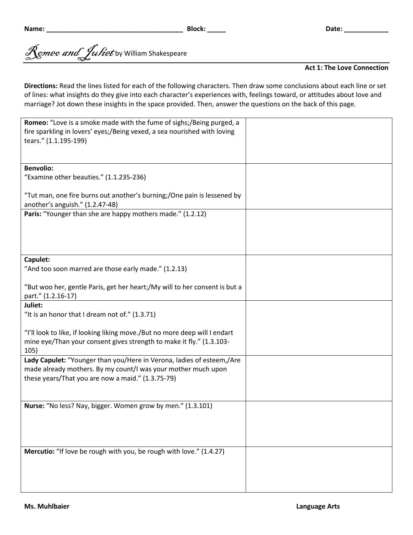Romeo and Juliet by William Shakespeare

## **Act 1: The Love Connection**

**Directions:** Read the lines listed for each of the following characters. Then draw some conclusions about each line or set of lines: what insights do they give into each character's experiences with, feelings toward, or attitudes about love and marriage? Jot down these insights in the space provided. Then, answer the questions on the back of this page.

| tears." (1.1.195-199)<br><b>Benvolio:</b><br>"Examine other beauties." (1.1.235-236)<br>"Tut man, one fire burns out another's burning;/One pain is lessened by<br>another's anguish." (1.2.47-48)<br>Paris: "Younger than she are happy mothers made." (1.2.12)<br>Capulet:<br>"And too soon marred are those early made." (1.2.13)<br>"But woo her, gentle Paris, get her heart;/My will to her consent is but a<br>part." (1.2.16-17)<br>Juliet:<br>"It is an honor that I dream not of." (1.3.71)<br>"I'll look to like, if looking liking move./But no more deep will I endart<br>mine eye/Than your consent gives strength to make it fly." (1.3.103-<br>105)<br>Lady Capulet: "Younger than you/Here in Verona, ladies of esteem,/Are<br>made already mothers. By my count/I was your mother much upon<br>these years/That you are now a maid." (1.3.75-79)<br>Nurse: "No less? Nay, bigger. Women grow by men." (1.3.101) | Romeo: "Love is a smoke made with the fume of sighs;/Being purged, a<br>fire sparkling in lovers' eyes;/Being vexed, a sea nourished with loving |  |
|-----------------------------------------------------------------------------------------------------------------------------------------------------------------------------------------------------------------------------------------------------------------------------------------------------------------------------------------------------------------------------------------------------------------------------------------------------------------------------------------------------------------------------------------------------------------------------------------------------------------------------------------------------------------------------------------------------------------------------------------------------------------------------------------------------------------------------------------------------------------------------------------------------------------------------------|--------------------------------------------------------------------------------------------------------------------------------------------------|--|
|                                                                                                                                                                                                                                                                                                                                                                                                                                                                                                                                                                                                                                                                                                                                                                                                                                                                                                                                   |                                                                                                                                                  |  |
|                                                                                                                                                                                                                                                                                                                                                                                                                                                                                                                                                                                                                                                                                                                                                                                                                                                                                                                                   |                                                                                                                                                  |  |
|                                                                                                                                                                                                                                                                                                                                                                                                                                                                                                                                                                                                                                                                                                                                                                                                                                                                                                                                   |                                                                                                                                                  |  |
|                                                                                                                                                                                                                                                                                                                                                                                                                                                                                                                                                                                                                                                                                                                                                                                                                                                                                                                                   |                                                                                                                                                  |  |
|                                                                                                                                                                                                                                                                                                                                                                                                                                                                                                                                                                                                                                                                                                                                                                                                                                                                                                                                   |                                                                                                                                                  |  |
|                                                                                                                                                                                                                                                                                                                                                                                                                                                                                                                                                                                                                                                                                                                                                                                                                                                                                                                                   |                                                                                                                                                  |  |
|                                                                                                                                                                                                                                                                                                                                                                                                                                                                                                                                                                                                                                                                                                                                                                                                                                                                                                                                   |                                                                                                                                                  |  |
|                                                                                                                                                                                                                                                                                                                                                                                                                                                                                                                                                                                                                                                                                                                                                                                                                                                                                                                                   |                                                                                                                                                  |  |
|                                                                                                                                                                                                                                                                                                                                                                                                                                                                                                                                                                                                                                                                                                                                                                                                                                                                                                                                   |                                                                                                                                                  |  |
|                                                                                                                                                                                                                                                                                                                                                                                                                                                                                                                                                                                                                                                                                                                                                                                                                                                                                                                                   |                                                                                                                                                  |  |
|                                                                                                                                                                                                                                                                                                                                                                                                                                                                                                                                                                                                                                                                                                                                                                                                                                                                                                                                   |                                                                                                                                                  |  |
|                                                                                                                                                                                                                                                                                                                                                                                                                                                                                                                                                                                                                                                                                                                                                                                                                                                                                                                                   |                                                                                                                                                  |  |
|                                                                                                                                                                                                                                                                                                                                                                                                                                                                                                                                                                                                                                                                                                                                                                                                                                                                                                                                   |                                                                                                                                                  |  |
|                                                                                                                                                                                                                                                                                                                                                                                                                                                                                                                                                                                                                                                                                                                                                                                                                                                                                                                                   |                                                                                                                                                  |  |
|                                                                                                                                                                                                                                                                                                                                                                                                                                                                                                                                                                                                                                                                                                                                                                                                                                                                                                                                   |                                                                                                                                                  |  |
|                                                                                                                                                                                                                                                                                                                                                                                                                                                                                                                                                                                                                                                                                                                                                                                                                                                                                                                                   |                                                                                                                                                  |  |
|                                                                                                                                                                                                                                                                                                                                                                                                                                                                                                                                                                                                                                                                                                                                                                                                                                                                                                                                   |                                                                                                                                                  |  |
|                                                                                                                                                                                                                                                                                                                                                                                                                                                                                                                                                                                                                                                                                                                                                                                                                                                                                                                                   |                                                                                                                                                  |  |
|                                                                                                                                                                                                                                                                                                                                                                                                                                                                                                                                                                                                                                                                                                                                                                                                                                                                                                                                   |                                                                                                                                                  |  |
|                                                                                                                                                                                                                                                                                                                                                                                                                                                                                                                                                                                                                                                                                                                                                                                                                                                                                                                                   |                                                                                                                                                  |  |
|                                                                                                                                                                                                                                                                                                                                                                                                                                                                                                                                                                                                                                                                                                                                                                                                                                                                                                                                   |                                                                                                                                                  |  |
|                                                                                                                                                                                                                                                                                                                                                                                                                                                                                                                                                                                                                                                                                                                                                                                                                                                                                                                                   |                                                                                                                                                  |  |
|                                                                                                                                                                                                                                                                                                                                                                                                                                                                                                                                                                                                                                                                                                                                                                                                                                                                                                                                   |                                                                                                                                                  |  |
|                                                                                                                                                                                                                                                                                                                                                                                                                                                                                                                                                                                                                                                                                                                                                                                                                                                                                                                                   |                                                                                                                                                  |  |
|                                                                                                                                                                                                                                                                                                                                                                                                                                                                                                                                                                                                                                                                                                                                                                                                                                                                                                                                   |                                                                                                                                                  |  |
| Mercutio: "If love be rough with you, be rough with love." (1.4.27)                                                                                                                                                                                                                                                                                                                                                                                                                                                                                                                                                                                                                                                                                                                                                                                                                                                               |                                                                                                                                                  |  |
|                                                                                                                                                                                                                                                                                                                                                                                                                                                                                                                                                                                                                                                                                                                                                                                                                                                                                                                                   |                                                                                                                                                  |  |
|                                                                                                                                                                                                                                                                                                                                                                                                                                                                                                                                                                                                                                                                                                                                                                                                                                                                                                                                   |                                                                                                                                                  |  |
|                                                                                                                                                                                                                                                                                                                                                                                                                                                                                                                                                                                                                                                                                                                                                                                                                                                                                                                                   |                                                                                                                                                  |  |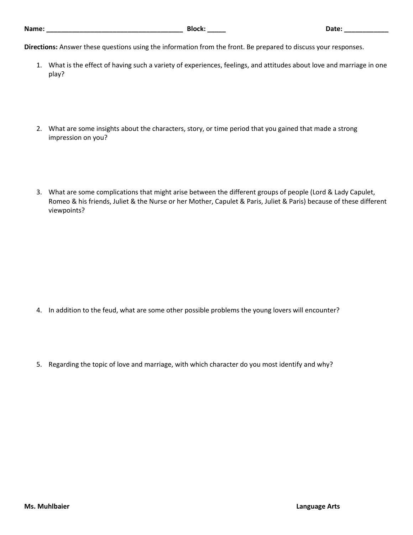**Directions:** Answer these questions using the information from the front. Be prepared to discuss your responses.

- 1. What is the effect of having such a variety of experiences, feelings, and attitudes about love and marriage in one play?
- 2. What are some insights about the characters, story, or time period that you gained that made a strong impression on you?
- 3. What are some complications that might arise between the different groups of people (Lord & Lady Capulet, Romeo & his friends, Juliet & the Nurse or her Mother, Capulet & Paris, Juliet & Paris) because of these different viewpoints?

- 4. In addition to the feud, what are some other possible problems the young lovers will encounter?
- 5. Regarding the topic of love and marriage, with which character do you most identify and why?